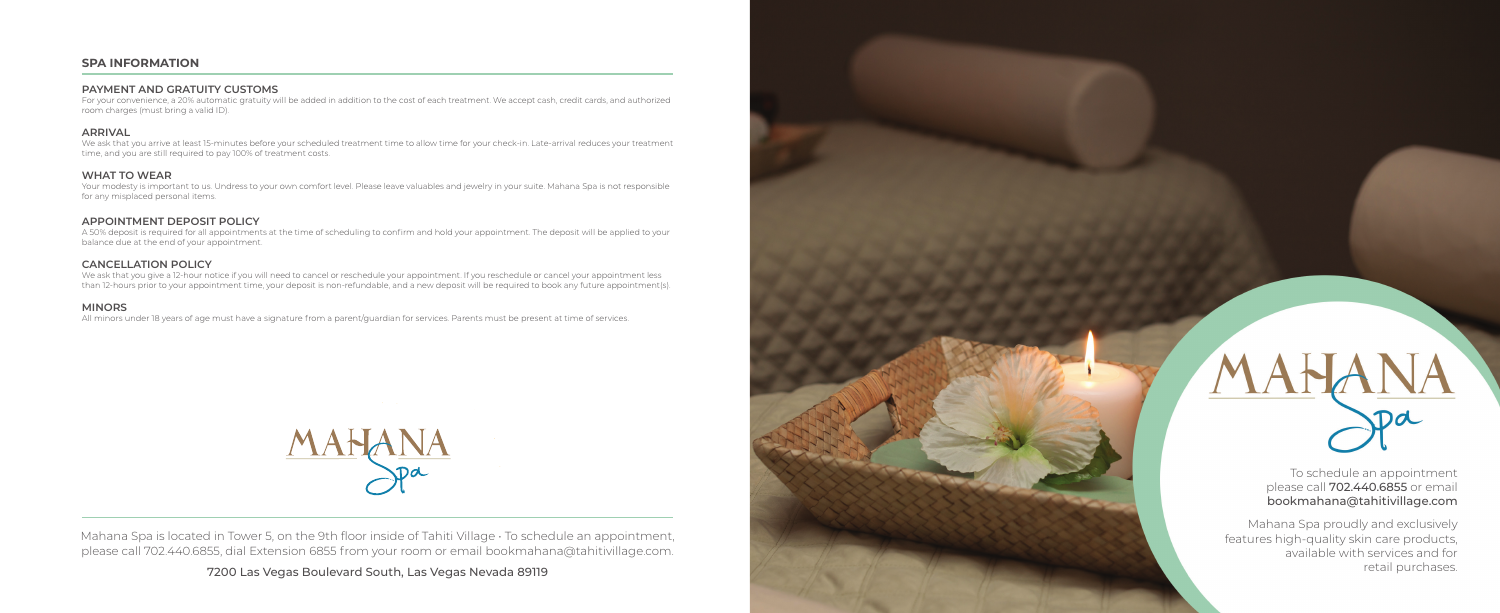Mahana Spa is located in Tower 5, on the 9th floor inside of Tahiti Village · To schedule an appointment, please call 702.440.6855, dial Extension 6855 from your room or email bookmahana@tahitivillage.com.

7200 Las Vegas Boulevard South, Las Vegas Nevada 89119



Mahana Spa proudly and exclusively features high-quality skin care products, available with services and for retail purchases.

To schedule an appointment please call 702.440.6855 or email bookmahana@tahitivillage.com

## **SPA INFORMATION**

### **PAYMENT AND GRATUITY CUSTOMS**

For your convenience, a 20% automatic gratuity will be added in addition to the cost of each treatment. We accept cash, credit cards, and authorized room charges (must bring a valid ID).

#### **ARRIVAL**

We ask that you arrive at least 15-minutes before your scheduled treatment time to allow time for your check-in. Late-arrival reduces your treatment time, and you are still required to pay 100% of treatment costs.

#### **WHAT TO WEAR**

Your modesty is important to us. Undress to your own comfort level. Please leave valuables and jewelry in your suite. Mahana Spa is not responsible for any misplaced personal items.

#### **APPOINTMENT DEPOSIT POLICY**

A 50% deposit is required for all appointments at the time of scheduling to confirm and hold your appointment. The deposit will be applied to your balance due at the end of your appointment.

#### **CANCELLATION POLICY**

We ask that you give a 12-hour notice if you will need to cancel or reschedule your appointment. If you reschedule or cancel your appointment less than 12-hours prior to your appointment time, your deposit is non-refundable, and a new deposit will be required to book any future appointment(s).

#### **MINORS**

All minors under 18 years of age must have a signature from a parent/guardian for services. Parents must be present at time of services.